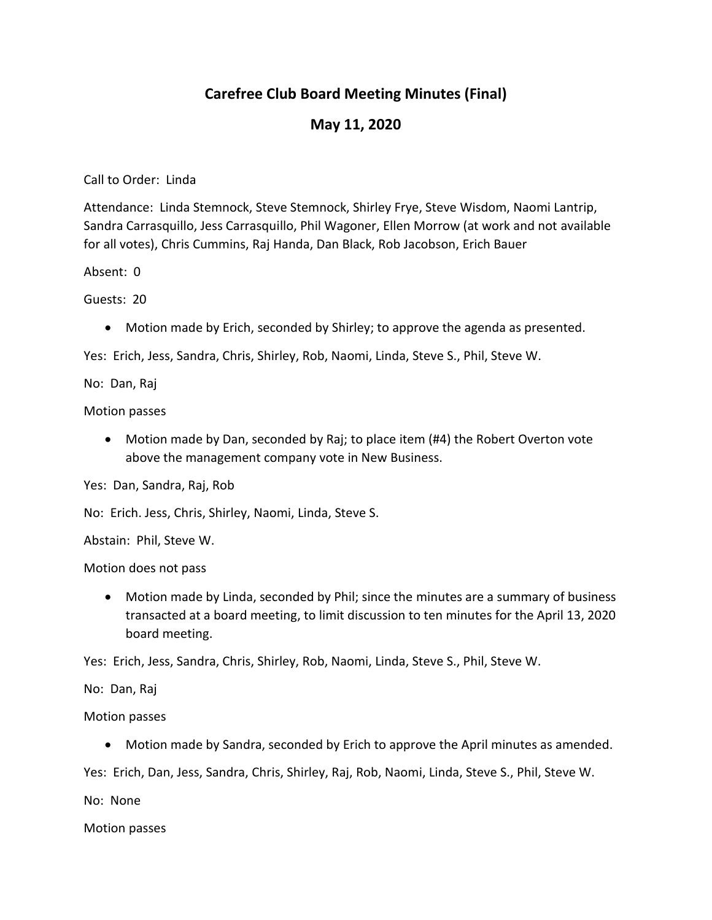# **Carefree Club Board Meeting Minutes (Final)**

### **May 11, 2020**

Call to Order: Linda

Attendance: Linda Stemnock, Steve Stemnock, Shirley Frye, Steve Wisdom, Naomi Lantrip, Sandra Carrasquillo, Jess Carrasquillo, Phil Wagoner, Ellen Morrow (at work and not available for all votes), Chris Cummins, Raj Handa, Dan Black, Rob Jacobson, Erich Bauer

Absent: 0

Guests: 20

Motion made by Erich, seconded by Shirley; to approve the agenda as presented.

Yes: Erich, Jess, Sandra, Chris, Shirley, Rob, Naomi, Linda, Steve S., Phil, Steve W.

No: Dan, Raj

Motion passes

 Motion made by Dan, seconded by Raj; to place item (#4) the Robert Overton vote above the management company vote in New Business.

Yes: Dan, Sandra, Raj, Rob

No: Erich. Jess, Chris, Shirley, Naomi, Linda, Steve S.

Abstain: Phil, Steve W.

Motion does not pass

 Motion made by Linda, seconded by Phil; since the minutes are a summary of business transacted at a board meeting, to limit discussion to ten minutes for the April 13, 2020 board meeting.

Yes: Erich, Jess, Sandra, Chris, Shirley, Rob, Naomi, Linda, Steve S., Phil, Steve W.

No: Dan, Raj

Motion passes

Motion made by Sandra, seconded by Erich to approve the April minutes as amended.

Yes: Erich, Dan, Jess, Sandra, Chris, Shirley, Raj, Rob, Naomi, Linda, Steve S., Phil, Steve W.

No: None

Motion passes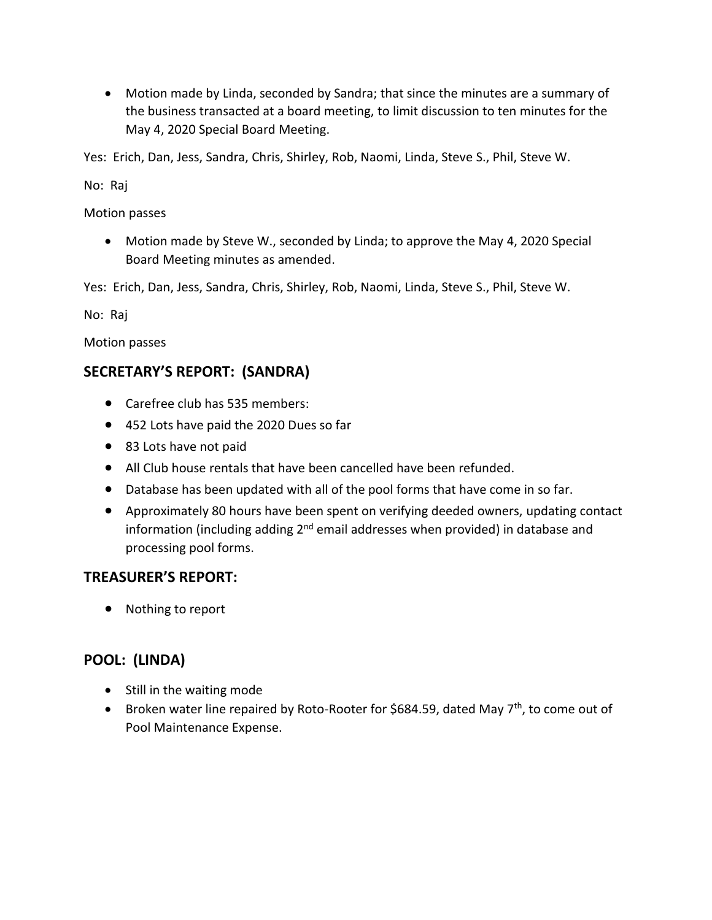Motion made by Linda, seconded by Sandra; that since the minutes are a summary of the business transacted at a board meeting, to limit discussion to ten minutes for the May 4, 2020 Special Board Meeting.

Yes: Erich, Dan, Jess, Sandra, Chris, Shirley, Rob, Naomi, Linda, Steve S., Phil, Steve W.

No: Raj

Motion passes

 Motion made by Steve W., seconded by Linda; to approve the May 4, 2020 Special Board Meeting minutes as amended.

Yes: Erich, Dan, Jess, Sandra, Chris, Shirley, Rob, Naomi, Linda, Steve S., Phil, Steve W.

No: Raj

Motion passes

#### **SECRETARY'S REPORT: (SANDRA)**

- Carefree club has 535 members:
- 452 Lots have paid the 2020 Dues so far
- 83 Lots have not paid
- All Club house rentals that have been cancelled have been refunded.
- Database has been updated with all of the pool forms that have come in so far.
- Approximately 80 hours have been spent on verifying deeded owners, updating contact information (including adding  $2<sup>nd</sup>$  email addresses when provided) in database and processing pool forms.

#### **TREASURER'S REPORT:**

• Nothing to report

### **POOL: (LINDA)**

- Still in the waiting mode
- **•** Broken water line repaired by Roto-Rooter for \$684.59, dated May  $7<sup>th</sup>$ , to come out of Pool Maintenance Expense.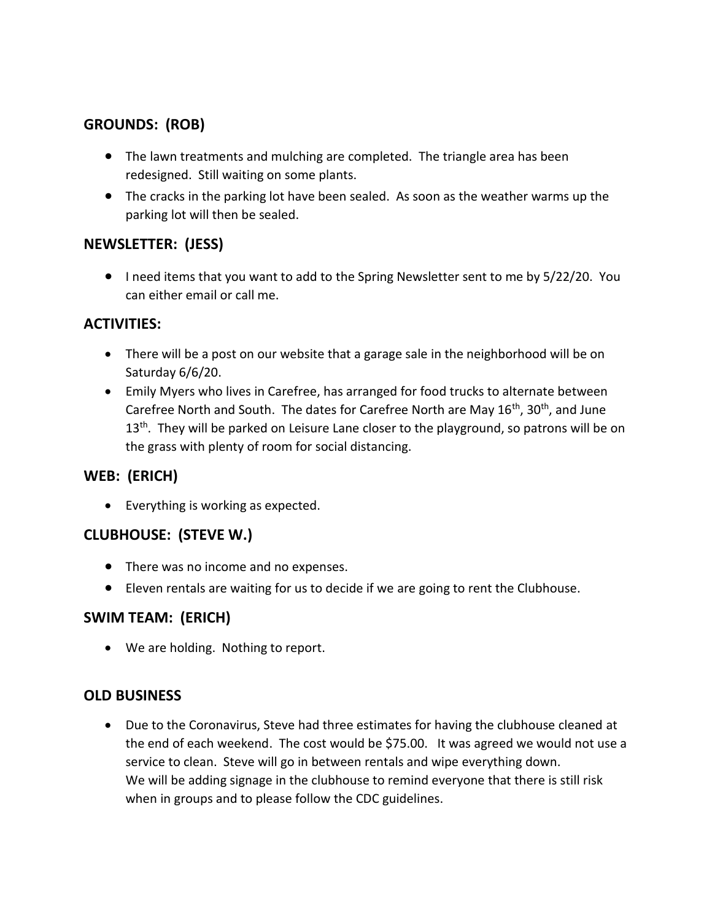# **GROUNDS: (ROB)**

- The lawn treatments and mulching are completed. The triangle area has been redesigned. Still waiting on some plants.
- The cracks in the parking lot have been sealed. As soon as the weather warms up the parking lot will then be sealed.

## **NEWSLETTER: (JESS)**

 I need items that you want to add to the Spring Newsletter sent to me by 5/22/20. You can either email or call me.

## **ACTIVITIES:**

- There will be a post on our website that a garage sale in the neighborhood will be on Saturday 6/6/20.
- Emily Myers who lives in Carefree, has arranged for food trucks to alternate between Carefree North and South. The dates for Carefree North are May  $16<sup>th</sup>$ ,  $30<sup>th</sup>$ , and June  $13<sup>th</sup>$ . They will be parked on Leisure Lane closer to the playground, so patrons will be on the grass with plenty of room for social distancing.

# **WEB: (ERICH)**

• Everything is working as expected.

### **CLUBHOUSE: (STEVE W.)**

- There was no income and no expenses.
- Eleven rentals are waiting for us to decide if we are going to rent the Clubhouse.

# **SWIM TEAM: (ERICH)**

We are holding. Nothing to report.

### **OLD BUSINESS**

 Due to the Coronavirus, Steve had three estimates for having the clubhouse cleaned at the end of each weekend. The cost would be \$75.00. It was agreed we would not use a service to clean. Steve will go in between rentals and wipe everything down. We will be adding signage in the clubhouse to remind everyone that there is still risk when in groups and to please follow the CDC guidelines.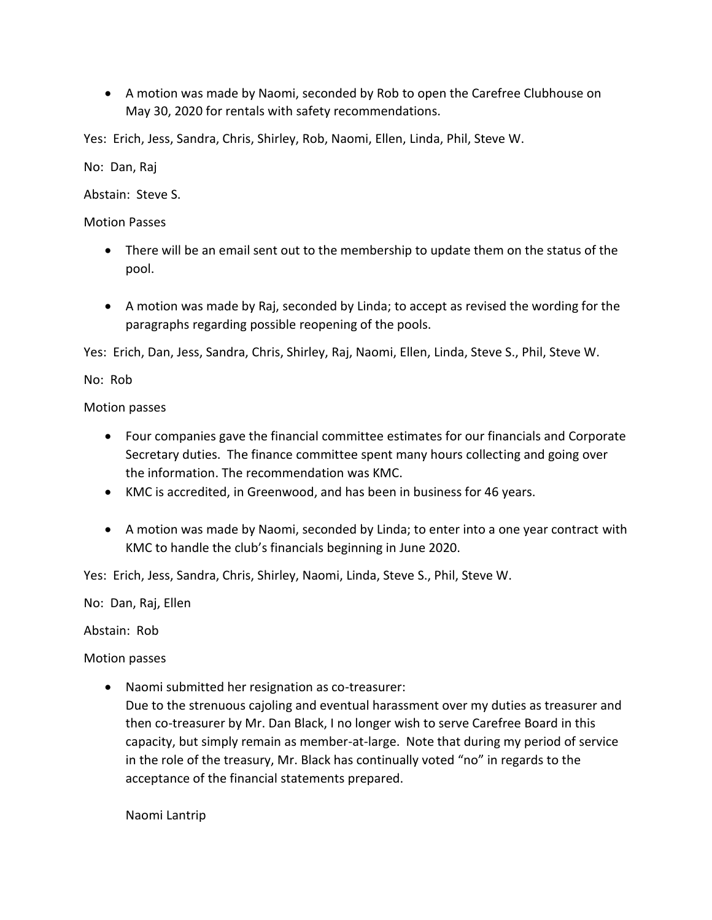A motion was made by Naomi, seconded by Rob to open the Carefree Clubhouse on May 30, 2020 for rentals with safety recommendations.

Yes: Erich, Jess, Sandra, Chris, Shirley, Rob, Naomi, Ellen, Linda, Phil, Steve W.

No: Dan, Raj

Abstain: Steve S.

Motion Passes

- There will be an email sent out to the membership to update them on the status of the pool.
- A motion was made by Raj, seconded by Linda; to accept as revised the wording for the paragraphs regarding possible reopening of the pools.

Yes: Erich, Dan, Jess, Sandra, Chris, Shirley, Raj, Naomi, Ellen, Linda, Steve S., Phil, Steve W.

No: Rob

Motion passes

- Four companies gave the financial committee estimates for our financials and Corporate Secretary duties. The finance committee spent many hours collecting and going over the information. The recommendation was KMC.
- KMC is accredited, in Greenwood, and has been in business for 46 years.
- A motion was made by Naomi, seconded by Linda; to enter into a one year contract with KMC to handle the club's financials beginning in June 2020.

Yes: Erich, Jess, Sandra, Chris, Shirley, Naomi, Linda, Steve S., Phil, Steve W.

No: Dan, Raj, Ellen

Abstain: Rob

Motion passes

Naomi submitted her resignation as co-treasurer:

Due to the strenuous cajoling and eventual harassment over my duties as treasurer and then co-treasurer by Mr. Dan Black, I no longer wish to serve Carefree Board in this capacity, but simply remain as member-at-large. Note that during my period of service in the role of the treasury, Mr. Black has continually voted "no" in regards to the acceptance of the financial statements prepared.

Naomi Lantrip